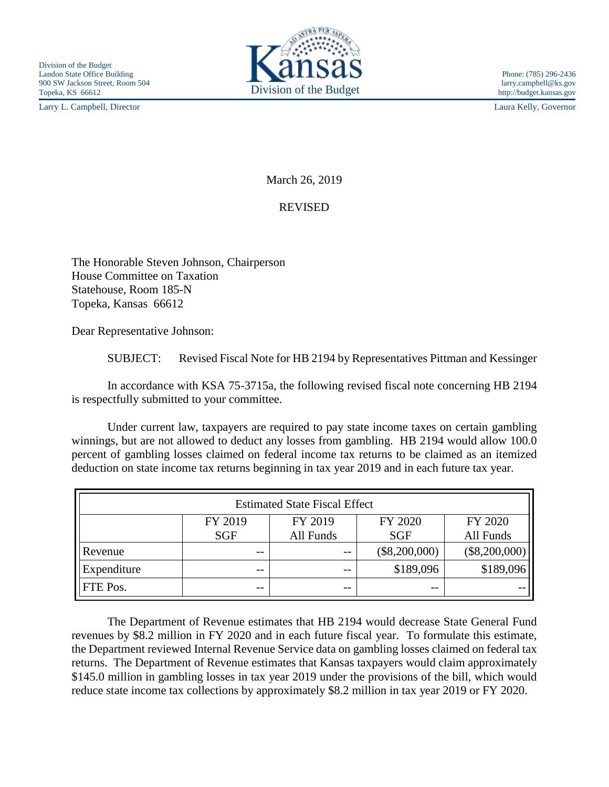Larry L. Campbell, Director Laura Kelly, Governor



March 26, 2019

## REVISED

The Honorable Steven Johnson, Chairperson House Committee on Taxation Statehouse, Room 185-N Topeka, Kansas 66612

Dear Representative Johnson:

SUBJECT: Revised Fiscal Note for HB 2194 by Representatives Pittman and Kessinger

In accordance with KSA 75-3715a, the following revised fiscal note concerning HB 2194 is respectfully submitted to your committee.

Under current law, taxpayers are required to pay state income taxes on certain gambling winnings, but are not allowed to deduct any losses from gambling. HB 2194 would allow 100.0 percent of gambling losses claimed on federal income tax returns to be claimed as an itemized deduction on state income tax returns beginning in tax year 2019 and in each future tax year.

| <b>Estimated State Fiscal Effect</b> |            |           |                 |                 |
|--------------------------------------|------------|-----------|-----------------|-----------------|
|                                      | FY 2019    | FY 2019   | FY 2020         | FY 2020         |
|                                      | <b>SGF</b> | All Funds | <b>SGF</b>      | All Funds       |
| Revenue                              | $- -$      | $- -$     | $(\$8,200,000)$ | $(\$8,200,000)$ |
| Expenditure                          | --         | $- -$     | \$189,096       | \$189,096       |
| FTE Pos.                             | --         | $ -$      | --              |                 |

The Department of Revenue estimates that HB 2194 would decrease State General Fund revenues by \$8.2 million in FY 2020 and in each future fiscal year. To formulate this estimate, the Department reviewed Internal Revenue Service data on gambling losses claimed on federal tax returns. The Department of Revenue estimates that Kansas taxpayers would claim approximately \$145.0 million in gambling losses in tax year 2019 under the provisions of the bill, which would reduce state income tax collections by approximately \$8.2 million in tax year 2019 or FY 2020.